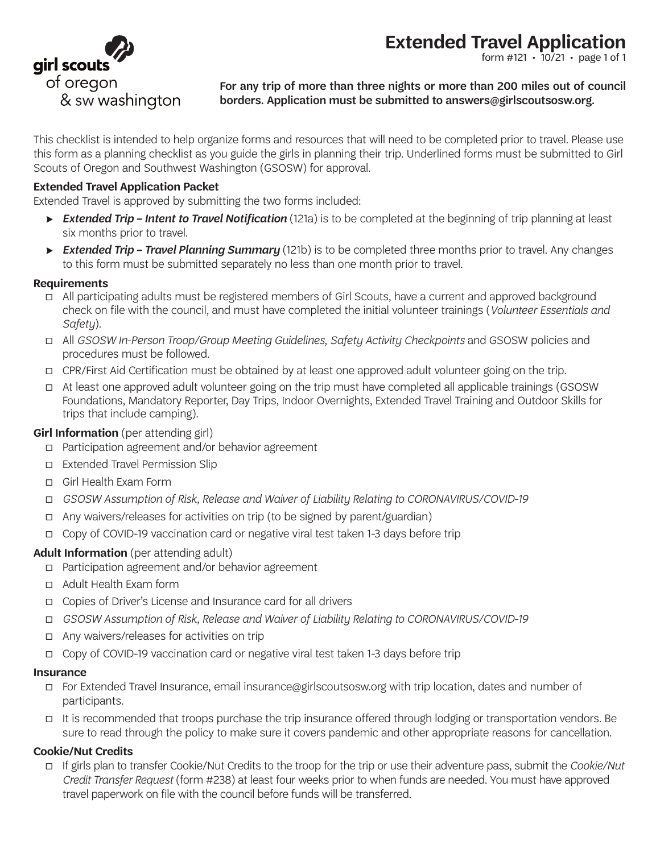

form #121  $\cdot$  10/21  $\cdot$  page 1 of 1



For any trip of more than three nights or more than 200 miles out of council borders. Application must be submitted to answers@girlscoutsosw.org.

This checklist is intended to help organize forms and resources that will need to be completed prior to travel. Please use this form as a planning checklist as you guide the girls in planning their trip. Underlined forms must be submitted to Girl Scouts of Oregon and Southwest Washington (GSOSW) for approval.

### **Extended Travel Application Packet**

Extended Travel is approved by submitting the two forms included:

- ⇨ *Extended Trip Intent to Travel Notification* (121a) is to be completed at the beginning of trip planning at least six months prior to travel.
- ⇨ *Extended Trip Travel Planning Summary* (121b) is to be completed three months prior to travel. Any changes to this form must be submitted separately no less than one month prior to travel.

#### **Requirements**

- LJ All participating adults must be registered members of Girl Scouts, have a current and approved background check on file with the council, and must have completed the initial volunteer trainings (*Volunteer Essentials and Safety*).
- LJ All *GSOSW In-Person Troop/Group Meeting Guidelines*, *Safety Activity Checkpoints* and GSOSW policies and procedures must be followed.
- LJ CPR/First Aid Certification must be obtained by at least one approved adult volunteer going on the trip.
- $\Box$  At least one approved adult volunteer going on the trip must have completed all applicable trainings (GSOSW Foundations, Mandatory Reporter, Day Trips, Indoor Overnights, Extended Travel Training and Outdoor Skills for trips that include camping).

### **Girl Information** (per attending girl)

- LJ Participation agreement and/or behavior agreement
- LJ Extended Travel Permission Slip
- □ Girl Health Exam Form
- LJ *GSOSW Assumption of Risk, Release and Waiver of Liability Relating to CORONAVIRUS/COVID-19*
- $\Box$  Any waivers/releases for activities on trip (to be signed by parent/guardian)
- LJ Copy of COVID-19 vaccination card or negative viral test taken 1-3 days before trip

### **Adult Information** (per attending adult)

- LJ Participation agreement and/or behavior agreement
- LJ Adult Health Exam form
- LJ Copies of Driver's License and Insurance card for all drivers
- LJ *GSOSW Assumption of Risk, Release and Waiver of Liability Relating to CORONAVIRUS/COVID-19*
- $\Box$  Any waivers/releases for activities on trip
- LJ Copy of COVID-19 vaccination card or negative viral test taken 1-3 days before trip

#### **Insurance**

- LJ For Extended Travel Insurance, email insurance@girlscoutsosw.org with trip location, dates and number of participants.
- It is recommended that troops purchase the trip insurance offered through lodging or transportation vendors. Be sure to read through the policy to make sure it covers pandemic and other appropriate reasons for cancellation.

#### **Cookie/Nut Credits**

LJ If girls plan to transfer Cookie/Nut Credits to the troop for the trip or use their adventure pass, submit the *Cookie/Nut Credit Transfer Request* (form #238) at least four weeks prior to when funds are needed. You must have approved travel paperwork on file with the council before funds will be transferred.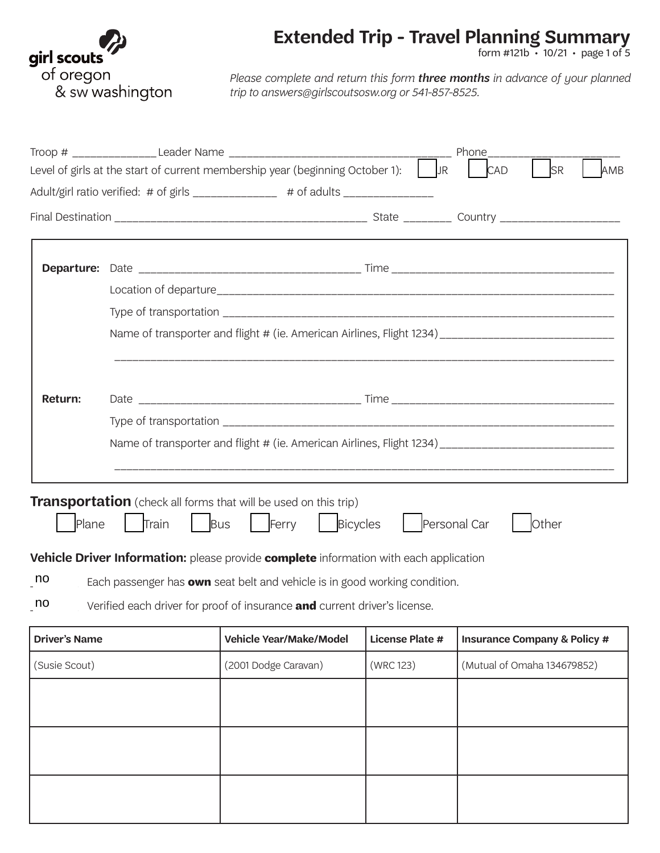

form #121b • 10/21 • page 1 of 5

*Please complete and return this form three months in advance of your planned trip to answers@girlscoutsosw.org or 541-857-8525.*

|                      |       |                                                                                                                                                                                                                                                                                                                                                                                    |                        | Phone                                                                                                |  |  |  |
|----------------------|-------|------------------------------------------------------------------------------------------------------------------------------------------------------------------------------------------------------------------------------------------------------------------------------------------------------------------------------------------------------------------------------------|------------------------|------------------------------------------------------------------------------------------------------|--|--|--|
|                      |       | Level of girls at the start of current membership year (beginning October 1):                                                                                                                                                                                                                                                                                                      | <b>JR</b>              | <b>SR</b><br><b>CAD</b><br>AMB                                                                       |  |  |  |
|                      |       | Adult/girl ratio verified: # of girls _____________ # of adults _______________                                                                                                                                                                                                                                                                                                    |                        |                                                                                                      |  |  |  |
|                      |       |                                                                                                                                                                                                                                                                                                                                                                                    |                        |                                                                                                      |  |  |  |
|                      |       |                                                                                                                                                                                                                                                                                                                                                                                    |                        |                                                                                                      |  |  |  |
|                      |       |                                                                                                                                                                                                                                                                                                                                                                                    |                        |                                                                                                      |  |  |  |
|                      |       |                                                                                                                                                                                                                                                                                                                                                                                    |                        |                                                                                                      |  |  |  |
|                      |       |                                                                                                                                                                                                                                                                                                                                                                                    |                        |                                                                                                      |  |  |  |
|                      |       |                                                                                                                                                                                                                                                                                                                                                                                    |                        | Name of transporter and flight # (ie. American Airlines, Flight 1234) ______________________________ |  |  |  |
|                      |       |                                                                                                                                                                                                                                                                                                                                                                                    |                        |                                                                                                      |  |  |  |
| <b>Return:</b>       |       |                                                                                                                                                                                                                                                                                                                                                                                    |                        |                                                                                                      |  |  |  |
|                      |       |                                                                                                                                                                                                                                                                                                                                                                                    |                        |                                                                                                      |  |  |  |
|                      |       |                                                                                                                                                                                                                                                                                                                                                                                    |                        | Name of transporter and flight # (ie. American Airlines, Flight 1234) ______________________________ |  |  |  |
|                      |       |                                                                                                                                                                                                                                                                                                                                                                                    |                        |                                                                                                      |  |  |  |
| Plane<br>no<br>no    | Train | <b>Transportation</b> (check all forms that will be used on this trip)<br>Bicycles<br>Ferry<br><b>Bus</b><br><b>Vehicle Driver Information:</b> please provide <b>complete</b> information with each application<br>Each passenger has <b>own</b> seat belt and vehicle is in good working condition.<br>Verified each driver for proof of insurance and current driver's license. | Personal Car           | Other                                                                                                |  |  |  |
| <b>Driver's Name</b> |       | <b>Vehicle Year/Make/Model</b>                                                                                                                                                                                                                                                                                                                                                     | <b>License Plate #</b> | <b>Insurance Company &amp; Policy #</b>                                                              |  |  |  |
| (Susie Scout)        |       | (2001 Dodge Caravan)                                                                                                                                                                                                                                                                                                                                                               | (WRC 123)              | (Mutual of Omaha 134679852)                                                                          |  |  |  |
|                      |       |                                                                                                                                                                                                                                                                                                                                                                                    |                        |                                                                                                      |  |  |  |
|                      |       |                                                                                                                                                                                                                                                                                                                                                                                    |                        |                                                                                                      |  |  |  |
|                      |       |                                                                                                                                                                                                                                                                                                                                                                                    |                        |                                                                                                      |  |  |  |
|                      |       |                                                                                                                                                                                                                                                                                                                                                                                    |                        |                                                                                                      |  |  |  |
|                      |       |                                                                                                                                                                                                                                                                                                                                                                                    |                        |                                                                                                      |  |  |  |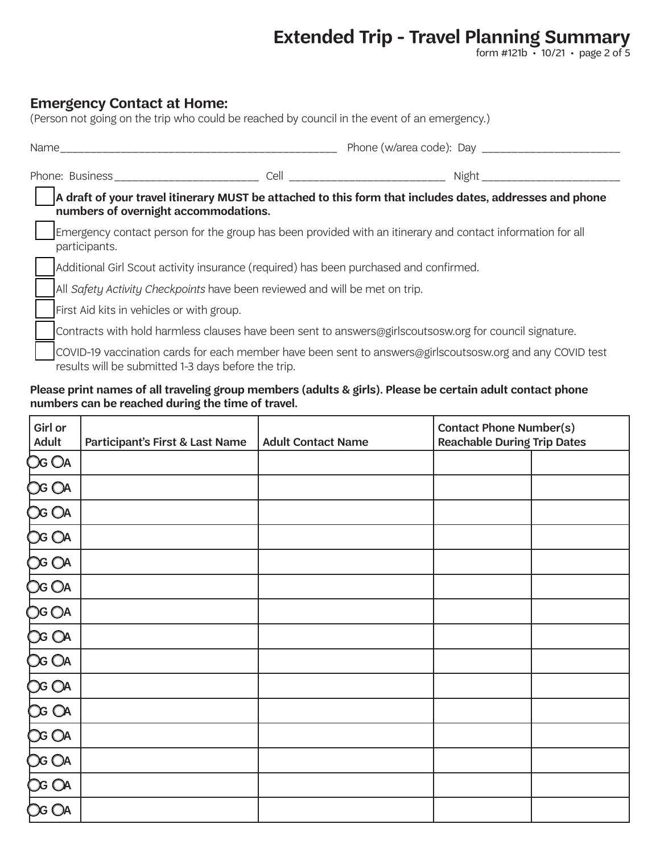form #121b • 10/21 • page 2 of 5

### **Emergency Contact at Home:**

| (Person not going on the trip who could be reached by council in the event of an emergency.)                                                                                                                                   |                                                                                       |                                                                                                            |  |  |
|--------------------------------------------------------------------------------------------------------------------------------------------------------------------------------------------------------------------------------|---------------------------------------------------------------------------------------|------------------------------------------------------------------------------------------------------------|--|--|
| Name and the state of the state of the state of the state of the state of the state of the state of the state of the state of the state of the state of the state of the state of the state of the state of the state of the s |                                                                                       |                                                                                                            |  |  |
|                                                                                                                                                                                                                                |                                                                                       |                                                                                                            |  |  |
| numbers of overnight accommodations.                                                                                                                                                                                           |                                                                                       | A draft of your travel itinerary MUST be attached to this form that includes dates, addresses and phone    |  |  |
| participants.                                                                                                                                                                                                                  |                                                                                       | Emergency contact person for the group has been provided with an itinerary and contact information for all |  |  |
|                                                                                                                                                                                                                                | Additional Girl Scout activity insurance (required) has been purchased and confirmed. |                                                                                                            |  |  |
|                                                                                                                                                                                                                                | All Safety Activity Checkpoints have been reviewed and will be met on trip.           |                                                                                                            |  |  |
| First Aid kits in vehicles or with group.                                                                                                                                                                                      |                                                                                       |                                                                                                            |  |  |
|                                                                                                                                                                                                                                |                                                                                       | Contracts with hold harmless clauses have been sent to answers@girlscoutsosw.org for council signature.    |  |  |
| results will be submitted 1-3 days before the trip.                                                                                                                                                                            |                                                                                       | COVID-19 vaccination cards for each member have been sent to answers@girlscoutsosw.org and any COVID test  |  |  |

#### **Please print names of all traveling group members (adults & girls). Please be certain adult contact phone numbers can be reached during the time of travel.**

| Girl or<br>Adult | Participant's First & Last Name | <b>Adult Contact Name</b> | <b>Contact Phone Number(s)</b><br><b>Reachable During Trip Dates</b> |  |
|------------------|---------------------------------|---------------------------|----------------------------------------------------------------------|--|
| <b>OG OA</b>     |                                 |                           |                                                                      |  |
| OG OA            |                                 |                           |                                                                      |  |
| <b>OG OA</b>     |                                 |                           |                                                                      |  |
| <b>OG OA</b>     |                                 |                           |                                                                      |  |
| OG OA            |                                 |                           |                                                                      |  |
| OG OA            |                                 |                           |                                                                      |  |
| OG OA            |                                 |                           |                                                                      |  |
| OG OA            |                                 |                           |                                                                      |  |
| <b>OG OA</b>     |                                 |                           |                                                                      |  |
| OG OA            |                                 |                           |                                                                      |  |
| OG OA            |                                 |                           |                                                                      |  |
| OG OA            |                                 |                           |                                                                      |  |
| <b>OG OA</b>     |                                 |                           |                                                                      |  |
| OG OA            |                                 |                           |                                                                      |  |
| <b>OG OA</b>     |                                 |                           |                                                                      |  |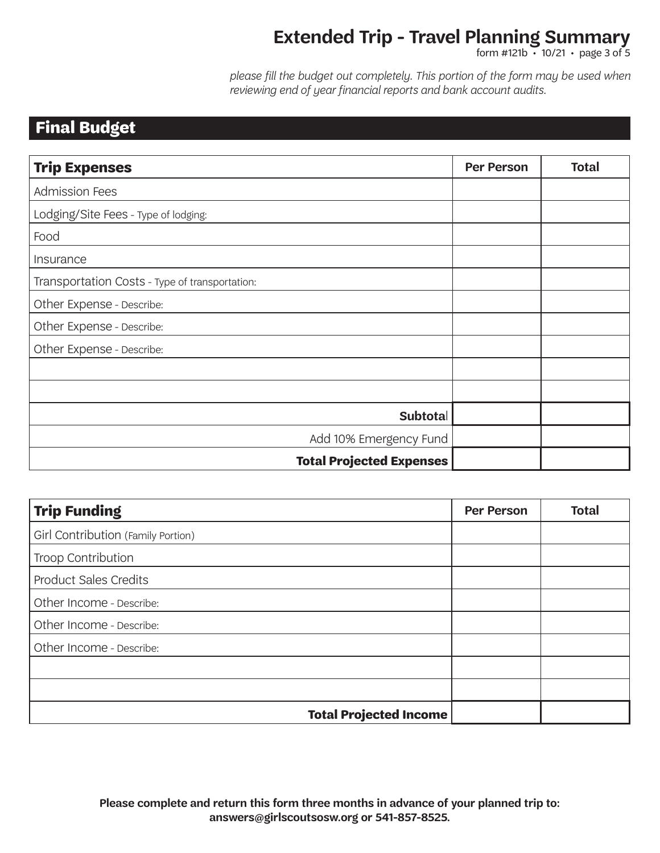form #121b • 10/21 • page 3 of 5

*please fill the budget out completely. This portion of the form may be used when reviewing end of year financial reports and bank account audits.*

## **Final Budget**

| <b>Trip Expenses</b>                           | <b>Per Person</b> | <b>Total</b> |
|------------------------------------------------|-------------------|--------------|
| <b>Admission Fees</b>                          |                   |              |
| Lodging/Site Fees - Type of lodging:           |                   |              |
| Food                                           |                   |              |
| Insurance                                      |                   |              |
| Transportation Costs - Type of transportation: |                   |              |
| Other Expense - Describe:                      |                   |              |
| Other Expense - Describe:                      |                   |              |
| Other Expense - Describe:                      |                   |              |
|                                                |                   |              |
|                                                |                   |              |
| Subtotal                                       |                   |              |
| Add 10% Emergency Fund                         |                   |              |
| <b>Total Projected Expenses</b>                |                   |              |

| <b>Trip Funding</b>                | <b>Per Person</b> | <b>Total</b> |
|------------------------------------|-------------------|--------------|
| Girl Contribution (Family Portion) |                   |              |
| Troop Contribution                 |                   |              |
| <b>Product Sales Credits</b>       |                   |              |
| Other Income - Describe:           |                   |              |
| Other Income - Describe:           |                   |              |
| Other Income - Describe:           |                   |              |
|                                    |                   |              |
|                                    |                   |              |
| <b>Total Projected Income</b>      |                   |              |

**Please complete and return this form three months in advance of your planned trip to: answers@girlscoutsosw.org or 541-857-8525.**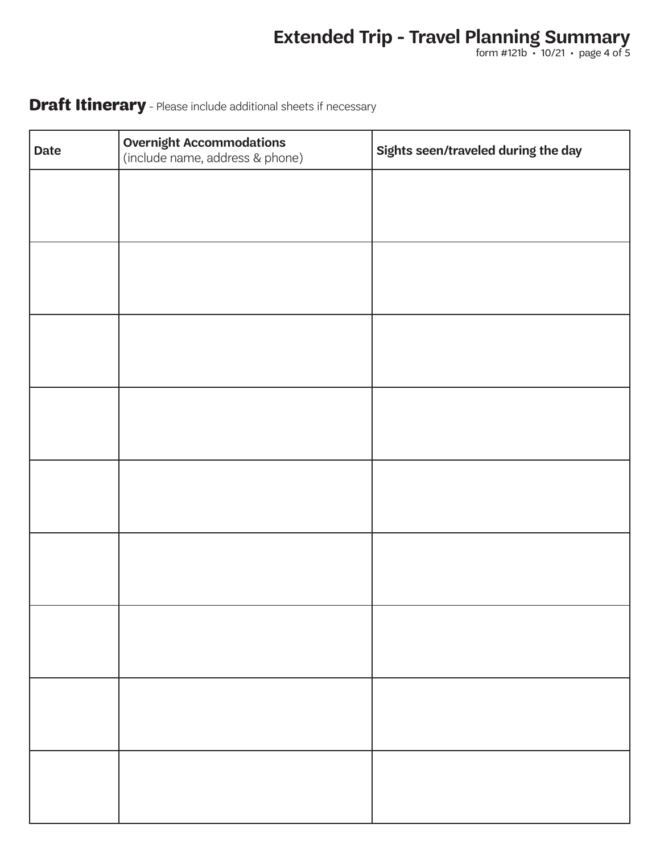form #121b • 10/21 • page 4 of 5

## **Draft Itinerary** - Please include additional sheets if necessary

| <b>Date</b> | <b>Overnight Accommodations</b><br>(include name, address & phone) | Sights seen/traveled during the day |
|-------------|--------------------------------------------------------------------|-------------------------------------|
|             |                                                                    |                                     |
|             |                                                                    |                                     |
|             |                                                                    |                                     |
|             |                                                                    |                                     |
|             |                                                                    |                                     |
|             |                                                                    |                                     |
|             |                                                                    |                                     |
|             |                                                                    |                                     |
|             |                                                                    |                                     |
|             |                                                                    |                                     |
|             |                                                                    |                                     |
|             |                                                                    |                                     |
|             |                                                                    |                                     |
|             |                                                                    |                                     |
|             |                                                                    |                                     |
|             |                                                                    |                                     |
|             |                                                                    |                                     |
|             |                                                                    |                                     |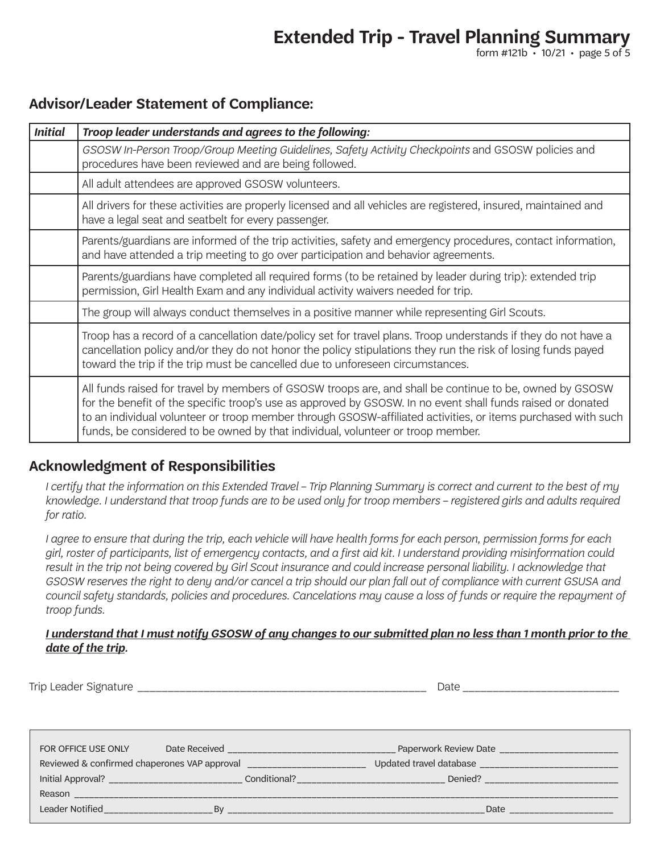form #121b  $\cdot$  10/21  $\cdot$  page 5 of 5

### **Advisor/Leader Statement of Compliance:**

| <b>Initial</b> | Troop leader understands and agrees to the following:                                                                                                                                                                                                                                                                                                                                                                     |
|----------------|---------------------------------------------------------------------------------------------------------------------------------------------------------------------------------------------------------------------------------------------------------------------------------------------------------------------------------------------------------------------------------------------------------------------------|
|                | GSOSW In-Person Troop/Group Meeting Guidelines, Safety Activity Checkpoints and GSOSW policies and<br>procedures have been reviewed and are being followed.                                                                                                                                                                                                                                                               |
|                | All adult attendees are approved GSOSW volunteers.                                                                                                                                                                                                                                                                                                                                                                        |
|                | All drivers for these activities are properly licensed and all vehicles are registered, insured, maintained and<br>have a legal seat and seatbelt for every passenger.                                                                                                                                                                                                                                                    |
|                | Parents/guardians are informed of the trip activities, safety and emergency procedures, contact information,<br>and have attended a trip meeting to go over participation and behavior agreements.                                                                                                                                                                                                                        |
|                | Parents/guardians have completed all required forms (to be retained by leader during trip): extended trip<br>permission, Girl Health Exam and any individual activity waivers needed for trip.                                                                                                                                                                                                                            |
|                | The group will always conduct themselves in a positive manner while representing Girl Scouts.                                                                                                                                                                                                                                                                                                                             |
|                | Troop has a record of a cancellation date/policy set for travel plans. Troop understands if they do not have a<br>cancellation policy and/or they do not honor the policy stipulations they run the risk of losing funds payed<br>toward the trip if the trip must be cancelled due to unforeseen circumstances.                                                                                                          |
|                | All funds raised for travel by members of GSOSW troops are, and shall be continue to be, owned by GSOSW<br>for the benefit of the specific troop's use as approved by GSOSW. In no event shall funds raised or donated<br>to an individual volunteer or troop member through GSOSW-affiliated activities, or items purchased with such<br>funds, be considered to be owned by that individual, volunteer or troop member. |

## **Acknowledgment of Responsibilities**

*I certify that the information on this Extended Travel – Trip Planning Summary is correct and current to the best of my knowledge. I understand that troop funds are to be used only for troop members – registered girls and adults required for ratio.* 

*I agree to ensure that during the trip, each vehicle will have health forms for each person, permission forms for each girl, roster of participants, list of emergency contacts, and a first aid kit. I understand providing misinformation could*  result in the trip not being covered by Girl Scout insurance and could increase personal liability. I acknowledge that *GSOSW reserves the right to deny and/or cancel a trip should our plan fall out of compliance with current GSUSA and council safety standards, policies and procedures. Cancelations may cause a loss of funds or require the repayment of troop funds.*

### *I understand that I must notify GSOSW of any changes to our submitted plan no less than 1 month prior to the date of the trip.*

| Trip<br>_eader<br>۱tı ırc<br>SIPNAT.<br>$\cdot$<br>.<br>$\overline{\phantom{a}}$ |  |
|----------------------------------------------------------------------------------|--|
|----------------------------------------------------------------------------------|--|

| FOR OFFICE USE ONLY                          | Date Received |              | Paperwork Review Date   |  |
|----------------------------------------------|---------------|--------------|-------------------------|--|
| Reviewed & confirmed chaperones VAP approval |               |              | Updated travel database |  |
| Initial Approval?                            |               | Conditional? | Denied?                 |  |
| Reason                                       |               |              |                         |  |
| Leader Notified                              | Rv            |              | Date                    |  |